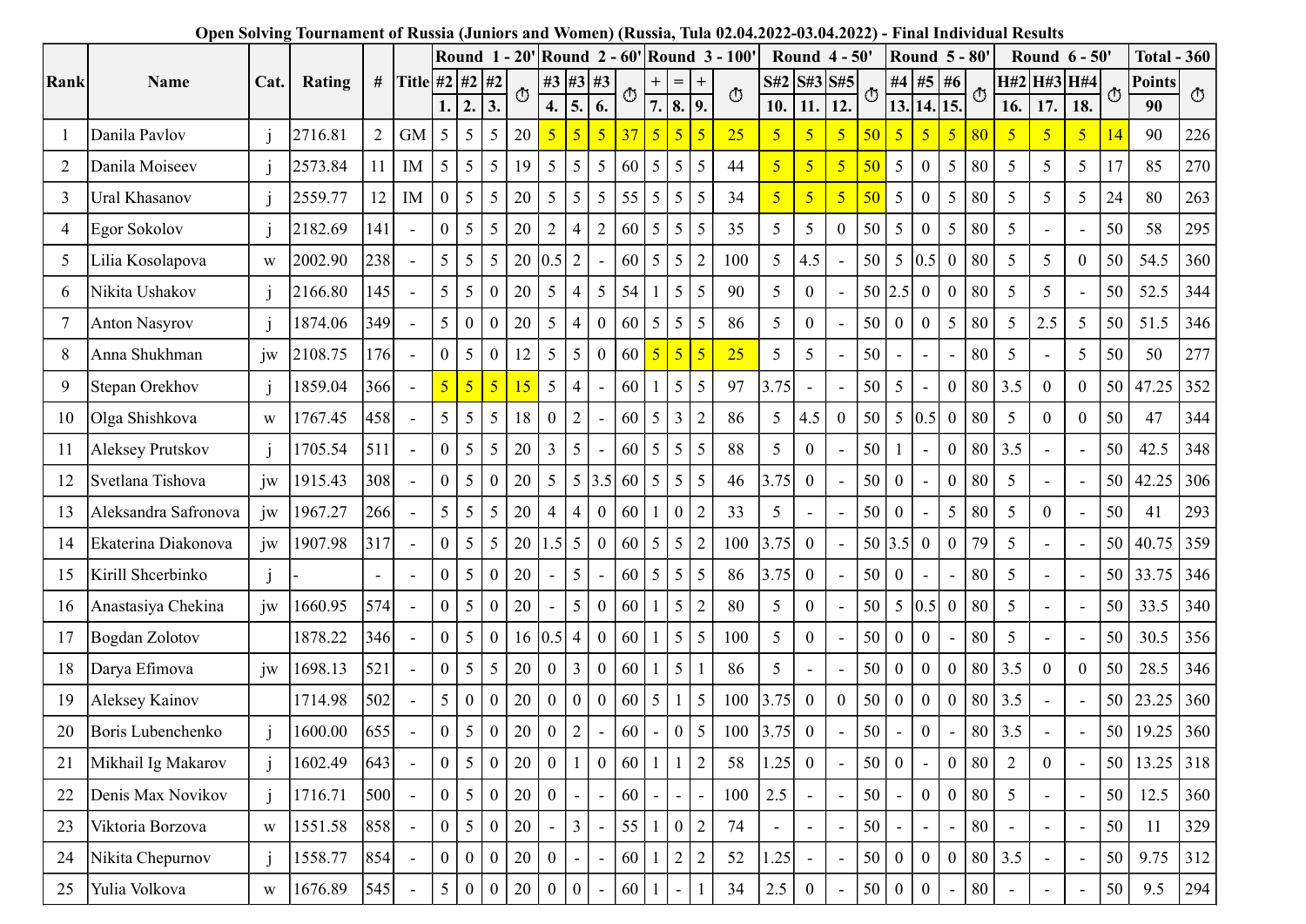|      |                                       |                                | Open Solving Tournament of Russia (Juniors and Women) (Russia, Tula 02.04.2022-03.04.2022) - Final Individual Results |                 |                          | Round 1 - 20' Round 2 - 60' Round 3 - 100' |                                                    |                        |                                   |                              |                                  |            |                 |                           |                    |                         | Round $4 - 50'$                  |                          |           |                          | <b>Round 5 - 80'</b>                 |                                    |                                                              |                                  | Round 6 - 50'      |                                   |          | <b>Total - 360</b> |            |
|------|---------------------------------------|--------------------------------|-----------------------------------------------------------------------------------------------------------------------|-----------------|--------------------------|--------------------------------------------|----------------------------------------------------|------------------------|-----------------------------------|------------------------------|----------------------------------|------------|-----------------|---------------------------|--------------------|-------------------------|----------------------------------|--------------------------|-----------|--------------------------|--------------------------------------|------------------------------------|--------------------------------------------------------------|----------------------------------|--------------------|-----------------------------------|----------|--------------------|------------|
| Rank | Name                                  | Cat.                           | Rating                                                                                                                |                 |                          | # Title #2 #2 #2<br>1.<br>12.              | 3.                                                 | ⊕                      | 4.                                | 5.                           | #3 #3 #3<br>6.                   | $_{\odot}$ |                 | $=$<br> 7. 8. 9.          | $\circled{t}$      | S#2 S#3 S#5<br>10.      | 11.                              | 12.                      | O         | 13. 14.                  | #4 #5 #6                             | 15.                                | $\circ$                                                      | 16.                              | H#2 H#3 H#4<br>17. | 18.                               | ↺        | Points<br>90       | ⊕          |
|      | Danila Pavlov                         |                                | 2716.81                                                                                                               | $2\overline{ }$ | <b>GM</b>                | 5 <sup>1</sup>                             | $5 \mid 5$                                         | 20                     |                                   | $\overline{5}$               | 5 <sup>1</sup>                   | 37         | $5 \vert$       | $\vert 5 \vert 5$         | 25                 | 5 <sub>o</sub>          | 5 <sup>5</sup>                   | 5 <sup>7</sup>           | 50        | 5 <sup>1</sup>           | 5 <sub>o</sub>                       | $5 \,   \, 80$                     |                                                              | $\sqrt{5}$                       | 5 <sup>5</sup>     | $\overline{5}$                    |          | 90                 | 226        |
|      | Danila Moiseev                        |                                | 2573.84                                                                                                               | 11              | IM                       | $5\overline{)}$                            | $5\overline{)}$                                    | 19                     | 5                                 | -5                           |                                  | 60         |                 | $5 \mid 5$                | 44                 | 5 <sup>5</sup>          | 5 <sup>5</sup>                   | 5 <sup>5</sup>           | 50        | 5 <sup>5</sup>           | $\overline{0}$                       | 5 <sup>5</sup>                     | 80                                                           | 5                                | 5                  | 5                                 | 17       | 85                 | 270        |
| 2    | Ural Khasanov                         |                                |                                                                                                                       |                 | IM                       | $\boldsymbol{0}$                           | 5 <sup>5</sup><br>$5\overline{)}$                  |                        |                                   |                              | 5 <sup>5</sup><br>5 <sup>5</sup> |            | 5 <sup>5</sup>  | 5 5 5                     | 34                 | 5 <sub>o</sub>          | 5 <sup>5</sup>                   | 5 <sup>5</sup>           | 50        | 5 <sup>5</sup>           |                                      | $5 \mid 80$                        |                                                              |                                  | 5                  | 5                                 |          | 80                 |            |
| 3    | Egor Sokolov                          |                                | 2559.77<br>2182.69                                                                                                    | 12<br>141       |                          | $\overline{0}$                             | 5 <sup>5</sup><br>$\overline{5}$<br>5 <sup>1</sup> | 20<br>20               | 5<br>$\overline{2}$               | -5                           |                                  | 55<br>60   |                 | 5 5 5                     | 35                 | $5\overline{)}$         | 5 <sup>5</sup>                   | $\overline{0}$           | 50        | 5 <sup>5</sup>           | $\boldsymbol{0}$<br>$\boldsymbol{0}$ | $5 \mid 80$                        |                                                              | $\overline{5}$<br>$\overline{5}$ |                    | $\overline{\phantom{a}}$          | 24<br>50 | 58                 | 263<br>295 |
| 4    |                                       |                                |                                                                                                                       |                 | $\sim$                   | 5 <sup>5</sup>                             | $5\overline{)}$                                    |                        |                                   |                              |                                  |            |                 |                           |                    |                         |                                  |                          | 50        |                          |                                      | $0$ 80                             |                                                              |                                  |                    |                                   |          | 54.5               | 360        |
| 5    | Lilia Kosolapova                      | W                              | 2002.90                                                                                                               | 238             | $\sim$                   | 5 <sup>1</sup>                             |                                                    | 20<br>$\overline{0}$   |                                   | $0.5 \,   \, 2$              |                                  | 60         | $5\overline{)}$ | 5 <sup>1</sup>            | 100<br>90          | 5 <sup>5</sup>          | 4.5                              | $\blacksquare$           |           | 50 2.5                   | $5 \,   \, 0.5$                      | $0$ 80                             |                                                              | 5                                | 5                  | $\overline{0}$                    | 50       |                    |            |
| 6    | Nikita Ushakov                        |                                | 2166.80                                                                                                               | 145<br>349      | $\sim$                   | 5 <sup>5</sup>                             | $\mathfrak{S}$                                     | 20                     | 5                                 | 4                            | 5 <sup>1</sup><br>$\overline{0}$ | 54         |                 | $5 \mid 5$                |                    | 5 <sup>5</sup>          | $\overline{0}$                   |                          |           | $\theta$                 | $\overline{0}$                       |                                    |                                                              | $\overline{5}$                   | 5                  | $\sim$                            | 50       | 52.5               | 344        |
| 8    | <b>Anton Nasyrov</b><br>Anna Shukhman |                                | 1874.06                                                                                                               |                 |                          |                                            |                                                    | $\boldsymbol{0}$<br>20 | $\mathfrak{S}$                    | $\vert 4 \vert$              |                                  | 60         |                 | $5 \mid 5 \mid 5$         | 86                 | $5\overline{)}$         | $\overline{0}$<br>$\overline{5}$ |                          | 50<br>150 |                          | $\overline{0}$                       | $5 \mid 80$                        |                                                              | $5\overline{)}$                  | 2.5                | $5\overline{)}$<br>$\overline{5}$ | 50<br>50 | 51.5<br>50         | 346        |
| 9    | Stepan Orekhov                        | $j_{W}$                        | 2108.75<br>1859.04                                                                                                    | 176<br>366      | $\sim$<br>$\sim$         | $5$ 5 5 $5$                                |                                                    | 15                     | $\mathfrak{H}$<br>$5\overline{)}$ | $\vert 4 \vert$              |                                  |            |                 | $60 \mid 1 \mid 5 \mid 5$ | $\boxed{25}$<br>97 | $\mathcal{L}$<br>$3.75$ | $\sim$                           | $\sim$                   | 50        | $\sim$<br>5 <sup>5</sup> | $\overline{\phantom{a}}$<br>$\sim$   | $\overline{\phantom{a}}$<br>$0$ 80 | $\begin{array}{ c c c } \hline 80 & 5 \\ \hline \end{array}$ | $\vert 3.5 \vert$                | $\overline{0}$     | $\overline{0}$                    | 50       | 47.25              | 277<br>352 |
| 10   | Olga Shishkova                        | $\ensuremath{\text{W}}$        | 1767.45                                                                                                               | 458             |                          | 5 <sup>1</sup>                             | $5\overline{)}$<br>5 <sup>5</sup>                  | 18                     | $\boldsymbol{0}$                  | $\sqrt{2}$                   |                                  | 60         | 5               | $\overline{3}$            | 86                 | $5\overline{)}$         | 4.5                              | $\overline{0}$           | 50        |                          | 5 0.5                                | $\theta$                           | 80                                                           | $5\overline{)}$                  | $\overline{0}$     | $\overline{0}$                    | 50       | 47                 | 344        |
| 11   | Aleksey Prutskov                      |                                | 1705.54                                                                                                               | 511             | $\sim$                   | $\overline{0}$                             | 5 <sup>5</sup><br>5 <sup>1</sup>                   | 20                     | 3                                 | $\overline{5}$               |                                  | 60         |                 | $\vert 5 \vert 5 \vert 5$ | 88                 | 5 <sup>5</sup>          | $\theta$                         |                          | 50        |                          |                                      | $\Omega$                           | $\vert 80 \vert$                                             | $\vert 3.5 \vert$                |                    | $\overline{\phantom{a}}$          | 50       | 42.5               | 348        |
|      | 12 Svetlana Tishova                   | jw                             | 1915.43                                                                                                               | 308             | $\sim$                   | $\overline{0}$                             | 5 <sup>5</sup>                                     | $\mathbf{0}$<br>20     | 5                                 |                              | 5 3.5 60                         |            |                 | $5 \mid 5 \mid 5$         | 46                 | 3.75                    | $\overline{0}$                   |                          | 50        | $\overline{0}$           |                                      | $0$ 80                             |                                                              | $5\overline{)}$                  |                    |                                   | 50       | 42.25              | 306        |
| 13   | Aleksandra Safronova                  | jw                             | 1967.27                                                                                                               | 266             |                          | 5 <sup>1</sup>                             | $5\overline{)}$                                    | 20                     | $\overline{4}$                    | $\overline{4}$               | 0 <sup>1</sup>                   | 60         |                 | $\vert 0 \vert$           | 33                 | 5 <sup>5</sup>          |                                  |                          | 50        | $\overline{0}$           |                                      | $5 \mid 80$                        |                                                              | $5\overline{)}$                  | $\overline{0}$     |                                   | 50       | 41                 | 293        |
| 14   | Ekaterina Diakonova                   | jw                             | 1907.98                                                                                                               | 317             | $\sim$                   | $^{\mathrm{+}}$ 0 $^{\mathrm{+}}$          | $5\overline{)}$<br>5 <sup>1</sup>                  | 20                     |                                   | $1.5 \, \vert \, 5 \, \vert$ | $\overline{0}$                   | 60         |                 |                           | $100\,$            | 3.75                    | $\overline{0}$                   |                          |           | 50 3.5                   | $\overline{0}$                       | $\theta$                           | 79                                                           | $5\overline{)}$                  |                    | $\sim$                            | 50       | 40.75 359          |            |
| 15   | Kirill Shcerbinko                     |                                |                                                                                                                       |                 | $\sim$                   | $\boldsymbol{0}$                           | 5                                                  | $\overline{0}$<br>20   |                                   | 5                            |                                  | 60         |                 | $5 \mid 5 \mid 5$         | 86                 | 3.75                    | $\mathbf{0}$                     |                          |           | 50 0                     |                                      |                                    | 80                                                           | $5\overline{)}$                  |                    |                                   |          | 50 33.75 346       |            |
|      | 16 Anastasiya Chekina                 | jw                             | 1660.95                                                                                                               | 574             |                          | $\overline{0}$<br>5                        |                                                    | 20<br>$\overline{0}$   |                                   | -5                           | $\Omega$                         | 60         |                 | 5 <sup>1</sup>            | 80                 | $5\overline{)}$         | $\theta$                         |                          | 50        |                          | $5 \,   \, 0.5$                      | $\overline{0}$                     | $\vert$ 80                                                   | 5                                |                    |                                   | 50       | 33.5               | 340        |
|      | 17 Bogdan Zolotov                     |                                | 1878.22                                                                                                               | 346             |                          | $\vert 0 \vert$<br>5                       |                                                    | $\overline{0}$         | $16$ 0.5 4                        |                              | $\overline{0}$                   | 60         | - 1             | $5 \mid 5$                | 100                | 5 <sup>5</sup>          | $\overline{0}$                   |                          | 50        | $\theta$                 | $\overline{0}$                       |                                    | 80                                                           | $5\overline{)}$                  |                    | $\sim$                            | 50       | 30.5               | 356        |
|      | 18 Darya Efimova                      | jw                             | 1698.13                                                                                                               | 521             |                          | $\overline{0}$                             | 5 <sup>5</sup>                                     | $\frac{1}{5}$<br>20    | $\mathbf{0}$                      | $\vert$ 3                    | $\overline{0}$                   | 60         | $\sqrt{1}$      | 5 <sup>1</sup>            | 86                 | 5 <sup>5</sup>          |                                  |                          | 50        | $\overline{0}$           | $\overline{0}$                       | $\overline{0}$                     | 80                                                           | $\vert 3.5 \vert$                | $\overline{0}$     | $\overline{0}$                    | 50       | 28.5               | 346        |
| 19   | Aleksey Kainov                        |                                | 1714.98                                                                                                               | 502             | $\blacksquare$           | $5\overline{)}$                            |                                                    | $\overline{0}$<br>20   | $\overline{0}$                    | LО                           | $\overline{0}$                   | 60         | $\vert 5 \vert$ | $1 \mid 5$                | 100                | 3.75                    | $\overline{0}$                   | $\theta$                 | 50        | $\overline{0}$           | $\overline{0}$                       | $\Omega$                           | 80                                                           | $\vert 3.5 \vert$                |                    | $\overline{\phantom{a}}$          | 50       | 23.25              | 360        |
| 20   | Boris Lubenchenko                     |                                | 1600.00                                                                                                               | 655             |                          | $\overline{0}$                             | 5                                                  | $\overline{0}$<br>20   | $\boldsymbol{0}$                  | $\vert$ 2                    |                                  | 60         |                 | $0 \mid 5$                | 100                | 3.75                    | $\overline{0}$                   |                          | 50        |                          | $\overline{0}$                       |                                    | 80                                                           | $\vert 3.5 \vert$                |                    |                                   | 50       | 19.25              | 360        |
| 21   | Mikhail Ig Makarov                    |                                | 1602.49                                                                                                               | 643             | $\blacksquare$           | $\overline{0}$<br>5                        |                                                    | $\overline{0}$<br>20   | $\boldsymbol{0}$                  |                              | $\overline{0}$                   | 60         |                 | $\vert$ 2                 | 58                 | 1.25                    | $\overline{0}$                   |                          | 50        | $\overline{0}$           |                                      | $\Omega$                           | $\vert$ 80                                                   | 2                                | $\theta$           |                                   | 50       | 13.25 318          |            |
| 22   | Denis Max Novikov                     |                                | 1716.71                                                                                                               | 500             | $\overline{\phantom{a}}$ | $\vert 0 \vert$                            | 5 <sup>5</sup>                                     | $\overline{0}$<br>20   | $\boldsymbol{0}$                  |                              |                                  | 60         |                 |                           | 100                | 2.5                     |                                  |                          | 50        |                          | $\overline{0}$                       | $\Omega$                           | 80                                                           | $5\overline{)}$                  |                    | $\sim$                            | 50       | 12.5               | 360        |
| 23   | Viktoria Borzova                      | W                              | 1551.58                                                                                                               | 858             | $\overline{\phantom{a}}$ | $\overline{0}$                             | 5                                                  | $\overline{0}$<br>20   | $\sim$                            | $\overline{3}$               |                                  | 55         |                 |                           | 74                 |                         |                                  |                          | 50        |                          |                                      |                                    | 80                                                           |                                  |                    | $\overline{\phantom{a}}$          | 50       | 11                 | 329        |
| 24   | Nikita Chepurnov                      |                                | 1558.77                                                                                                               | 854             |                          | $\overline{0}$                             |                                                    | $\overline{0}$<br>20   | $\overline{0}$                    |                              |                                  | 60         |                 | $2\vert$                  | 52                 | 1.25                    |                                  |                          | 50        | $\theta$                 | $\overline{0}$                       | $\Omega$                           | 180 <sup>1</sup>                                             | $\vert 3.5 \vert$                |                    |                                   | 50       | 9.75               | 312        |
| 25   | Yulia Volkova                         | $\ensuremath{\text{W}}\xspace$ | 1676.89                                                                                                               | 545             | $\sim$                   | 5 <sup>1</sup><br>$\Omega$                 |                                                    | $\overline{0}$<br>20   | $\boldsymbol{0}$                  | l 0                          |                                  | 60         |                 |                           | 34                 | 2.5                     | $\overline{0}$                   | $\overline{\phantom{a}}$ | 50        | $\theta$                 | $\overline{0}$                       | $\sim$                             | 80                                                           | $\sim$                           | $\sim$             | $\sim$                            | 50       | 9.5                | 294        |
|      |                                       |                                |                                                                                                                       |                 |                          |                                            |                                                    |                        |                                   |                              |                                  |            |                 |                           |                    |                         |                                  |                          |           |                          |                                      |                                    |                                                              |                                  |                    |                                   |          |                    |            |

## Open Solving Tournament of Russia (Juniors and Women) (Russia, Tula 02.04.2022-03.04.2022) - Final Individual Results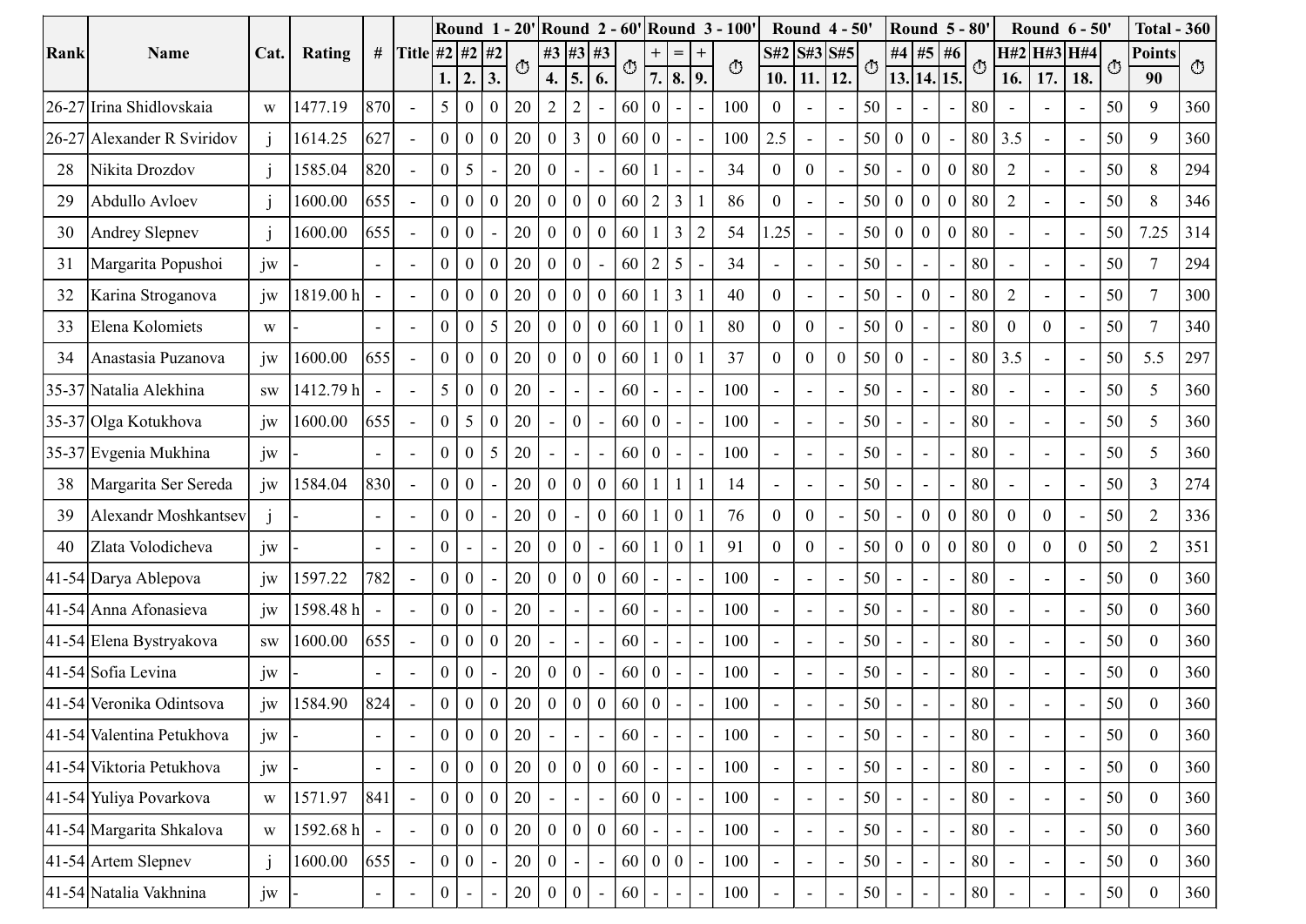|                            |                                |           |                          |                  |                                           |          |                               |                |                |                |                                 |                 |                 | Round 1 - 20' Round 2 - 60' Round 3 - 100 |    |                          | Round 4 - 50'            |                          |                          | <b>Round 5 - 80'</b>     |                  |                |        |                          | Round 6 - 50'            |                          |    | <b>Total - 360</b> |               |
|----------------------------|--------------------------------|-----------|--------------------------|------------------|-------------------------------------------|----------|-------------------------------|----------------|----------------|----------------|---------------------------------|-----------------|-----------------|-------------------------------------------|----|--------------------------|--------------------------|--------------------------|--------------------------|--------------------------|------------------|----------------|--------|--------------------------|--------------------------|--------------------------|----|--------------------|---------------|
| Rank<br>Name               | Cat.                           | Rating    |                          | # Title #2 #2 #2 |                                           |          | $_{\bigodot}$                 |                |                | #3 #3 #3       | O                               | $+$   =         |                 | $+$<br>$\bigcirc$                         |    | $S#2$ $S#3$ $S#5$        |                          |                          | O                        | #4 #5 #6                 |                  |                | O      |                          | H#2 H#3 H#4              |                          | ⊕  | Points             | $\circled{5}$ |
|                            |                                |           |                          |                  | 1.   2.                                   |          | 3.                            | 4.             | 5 <sub>1</sub> | 6.             |                                 |                 | 7. 8. 9.        |                                           |    | 10.                      | 11.                      | 12.                      |                          | 13. 14.                  |                  | $\vert$ 15.    |        | 16.                      | 17.                      | 18.                      |    | 90                 |               |
| 26-27 Irina Shidlovskaia   | $\ensuremath{\text{W}}\xspace$ | 1477.19   | 870                      | $\sim$           | 5 <sup>5</sup>                            |          | $\boldsymbol{0}$<br><b>20</b> | $\overline{2}$ | $\overline{2}$ |                | 60                              | $\overline{0}$  |                 | 100                                       |    | $\boldsymbol{0}$         | $\overline{\phantom{a}}$ | $\sim$                   | 50                       |                          |                  |                | 80     | $\overline{\phantom{a}}$ | $\sim$                   | $\sim$                   | 50 | 9                  | 360           |
| 26-27 Alexander R Sviridov |                                | 1614.25   | 627                      | $\sim$           | $\overline{0}$                            |          | $\boldsymbol{0}$<br>20        | $\overline{0}$ | 3              |                | 60                              | $\overline{0}$  |                 | $100\,$                                   |    | 2.5                      | $\sim$                   | $\overline{\phantom{a}}$ | 50                       | $\overline{0}$           | $\mathbf{0}$     |                | 80     | 3.5                      |                          | $\overline{\phantom{a}}$ | 50 | 9                  | 360           |
| 28<br>Nikita Drozdov       | $\mathbf{1}$                   | 1585.04   | 820                      | $\sim$           | $\Omega$                                  | 5        | 20<br>$\sim$                  | $\Omega$       |                |                | 60                              |                 |                 | 34                                        |    | $\overline{0}$           | $\overline{0}$           | $\overline{\phantom{a}}$ | 50                       |                          | $\mathbf{0}$     | -0             | 80     | 2                        |                          | $\sim$                   | 50 | 8                  | 294           |
| 29<br>Abdullo Avloev       |                                | 1600.00   | 655                      | $\sim$           | $\overline{0}$                            | 0        | $\mathbf{0}$<br>20            | $\theta$       |                |                | 60                              | 2 3             |                 | 86                                        |    | $\boldsymbol{0}$         |                          | $\overline{\phantom{a}}$ | 50                       | $\overline{0}$           | $\mathbf{0}$     | $\bf{0}$       | 80     | $\overline{2}$           |                          | $\sim$                   | 50 | 8                  | 346           |
| 30<br>Andrey Slepnev       | $\mathbf{1}$                   | 1600.00   | 655                      | $\sim$           | $\theta$                                  | 0        | 20<br>$\sim$                  | $\theta$       |                |                | 60                              |                 | 3               | 54                                        |    | 1.25                     | $\sim$                   | $\overline{\phantom{a}}$ | 50                       | $\overline{0}$           | $\overline{0}$   | $\theta$       | 80     |                          |                          | $\overline{\phantom{a}}$ | 50 | 7.25               | 314           |
| Margarita Popushoi<br>31   | jw                             |           | $\overline{\phantom{a}}$ | $\sim$           | $\theta$                                  |          | $\overline{0}$<br>20          | $\theta$       | - 0            | $\sim$         | 60                              | $2 \mid 5$      |                 | 34                                        |    | $\overline{\phantom{a}}$ | $\sim$                   | $\sim$                   | 50                       | $\overline{\phantom{0}}$ | $\sim$           |                | 80     | $\overline{\phantom{a}}$ | $\sim$                   | $\sim$                   | 50 | $7\phantom{.0}$    | 294           |
| 32<br>Karina Stroganova    | jw                             | 1819.00 h |                          | $\sim$           | $\overline{0}$                            | 0        | $\boldsymbol{0}$<br>20        | $\Omega$       |                | $\theta$       | 60                              |                 | $\frac{1}{3}$   | 40                                        |    | $\overline{0}$           |                          | $\overline{\phantom{a}}$ | 50                       |                          | $\mathbf{0}$     |                | 80     | $\overline{2}$           |                          | $\overline{\phantom{a}}$ | 50 | $\overline{7}$     | 300           |
| 33<br>Elena Kolomiets      | W                              |           | $\overline{\phantom{a}}$ | $\sim$           | $\begin{bmatrix} 0 & 0 & 5 \end{bmatrix}$ |          |                               |                |                |                | 20   0   0   0   60   1   0   1 |                 |                 | 80                                        |    | $\mathbf{0}$             | $\mathbf{0}$             | $\overline{\phantom{a}}$ | $\vert 50 \vert 0 \vert$ |                          | $\sim$           |                | $- 80$ | $\boldsymbol{0}$         | $\mathbf{0}$             | $\sim$                   | 50 |                    | 340           |
| 34 Anastasia Puzanova      | jw                             | 1600.00   | 655                      | $\sim$           | $^{\mathrm{+}}$ 0 $^{\mathrm{+}}$         | $\Omega$ | $\overline{0}$<br>20          | $\overline{0}$ | l O            | $\overline{0}$ | 60                              |                 | $\vert 0 \vert$ | 37                                        |    | $\overline{0}$           | $\overline{0}$           | $\overline{0}$           | 50                       | $\overline{0}$           |                  |                | 80     | $\vert 3.5 \vert$        |                          | $\sim$                   | 50 | 5.5                | 297           |
| 35-37 Natalia Alekhina     | $\operatorname{SW}$            | 1412.79 h |                          | $\sim$           | $5\overline{)}$                           |          | $\boldsymbol{0}$<br>20        |                |                |                | 60                              |                 |                 | 100                                       |    |                          |                          |                          | 50                       |                          |                  |                | 80     |                          |                          | $\overline{\phantom{a}}$ | 50 | $\overline{5}$     | 360           |
| 35-37 Olga Kotukhova       | jw                             | 1600.00   | 655                      | $\sim$           | $\overline{0}$                            | $\sim$   | $\overline{0}$<br>20          |                | $\sqrt{ }$     |                | 60                              | $\vert 0 \vert$ |                 | 100                                       |    |                          | $\sim$                   | $\overline{\phantom{a}}$ | 50                       |                          |                  |                | $80\,$ |                          | $\overline{\phantom{a}}$ | $\overline{a}$           | 50 | 5                  | 360           |
| 35-37 Evgenia Mukhina      | jw                             |           |                          | $\sim$           | $\overline{0}$                            |          | 5<br>20                       |                |                |                | 60                              | $\overline{0}$  |                 | 100                                       |    |                          | $\sim$                   | $\sim$                   | 50                       |                          |                  |                | $80\,$ |                          |                          | $\overline{\phantom{a}}$ | 50 | 5                  | 360           |
| 38   Margarita Ser Sereda  | jw                             | 1584.04   | 830                      | $\sim$           | $\overline{0}$                            |          | 20                            | $\theta$       |                |                | 60                              |                 |                 |                                           | 14 |                          | $\sim$                   | $\blacksquare$           | 50                       |                          |                  |                | 80     |                          |                          | $\sim$                   | 50 | $\mathfrak{Z}$     | 274           |
| Alexandr Moshkantsev<br>39 | $\mathbf{j}$                   |           |                          | $\sim$           | $\theta$                                  | 0        | 20<br>$\sim$                  | $\Omega$       |                | $\theta$       | 60                              |                 | $\vert 0 \vert$ | 76                                        |    | $\overline{0}$           | $\overline{0}$           | $\blacksquare$           | 50                       |                          | $\overline{0}$   | $\theta$       | 80     | $\overline{0}$           | $\overline{0}$           | $\overline{\phantom{a}}$ | 50 | $\overline{2}$     | 336           |
| Zlata Volodicheva<br>40    | jw                             |           |                          | $\sim$           | $\Omega$                                  |          | 20                            | $\Omega$       |                |                | 60                              |                 | $\overline{0}$  | 91                                        |    | $\overline{0}$           | $\overline{0}$           |                          | 50                       | $\overline{0}$           | $\boldsymbol{0}$ | $\overline{0}$ | 80     | $\overline{0}$           | $\overline{0}$           | $\mathbf{0}$             | 50 | 2                  | 351           |
| 41-54 Darya Ablepova       | jw                             | 1597.22   | 782                      | $\blacksquare$   | $\overline{0}$                            |          | 20                            | $\Omega$       |                |                | 60                              |                 |                 | 100                                       |    |                          |                          |                          | 50                       |                          |                  |                | 80     |                          |                          | $\overline{\phantom{a}}$ | 50 | $\overline{0}$     | 360           |
| 41-54 Anna Afonasieva      | jw                             | 1598.48 h |                          | $\sim$           | $\theta$                                  |          | 20<br>$\sim$                  |                |                |                | 60                              |                 |                 | 100                                       |    | $\sim$                   | $\sim$                   | $\sim$                   | 50                       |                          |                  |                | 80     | $\overline{\phantom{a}}$ | $\sim$                   | $\sim$                   | 50 | $\boldsymbol{0}$   | 360           |
| 41-54 Elena Bystryakova    | $\mathrm{SW}$                  | 1600.00   | 655                      | $\sim$           | $\mathbf{0}$                              |          | $\overline{0}$<br>20          |                |                |                | 60                              |                 |                 | 100                                       |    |                          | $\sim$                   | $\overline{\phantom{a}}$ | 50                       |                          |                  |                | 80     |                          |                          | $\overline{\phantom{a}}$ | 50 | $\boldsymbol{0}$   | 360           |
| 41-54 Sofia Levina         | jw                             |           |                          | $\sim$           | $\Omega$                                  |          | 20                            |                |                |                | 60                              | $\vert 0 \vert$ |                 | 100                                       |    |                          |                          | $\blacksquare$           | 50                       |                          |                  |                | $80\,$ |                          |                          | $\overline{\phantom{a}}$ | 50 | $\overline{0}$     | 360           |
| 41-54 Veronika Odintsova   | jw                             | 1584.90   | 824                      | $\sim$           | $\overline{0}$                            |          | $\overline{0}$<br>20          | $\Omega$       |                |                | 60                              | $\overline{0}$  |                 | 100                                       |    |                          | $\overline{\phantom{a}}$ |                          | 50                       |                          |                  |                | 80     |                          |                          | $\sim$                   | 50 | $\boldsymbol{0}$   | 360           |
| 41-54 Valentina Petukhova  | jw                             |           | $\blacksquare$           | $\sim$           | $\overline{0}$                            |          | $\overline{0}$<br>20          |                |                |                | 60                              |                 |                 | 100                                       |    |                          | $\sim$                   | $\overline{\phantom{a}}$ | 50                       |                          |                  |                | 80     |                          |                          | $\overline{\phantom{a}}$ | 50 | $\boldsymbol{0}$   | 360           |
| 41-54 Viktoria Petukhova   | jw                             |           |                          | $\sim$           | $\overline{0}$                            |          | $\overline{0}$<br>20          | $\Omega$       | $\sqrt{ }$     | $\Omega$       | 60                              |                 |                 | 100                                       |    |                          | $\sim$                   | $\overline{\phantom{a}}$ | 50                       |                          |                  |                | 80     |                          |                          | $\sim$                   | 50 | $\mathbf{0}$       | 360           |
| 41-54 Yuliya Povarkova     | $\ensuremath{\text{W}}$        | 1571.97   | 841                      | $\sim$           | $\overline{0}$                            |          | $\boldsymbol{0}$<br>20        |                |                |                | 60                              | 0               |                 | 100                                       |    |                          |                          |                          | 50                       |                          |                  |                | $80\,$ |                          |                          | $\sim$                   | 50 | $\overline{0}$     | 360           |
| 41-54 Margarita Shkalova   | $\ensuremath{\text{W}}\xspace$ | 1592.68 h |                          | $\sim$           | $\overline{0}$                            |          | $\overline{0}$<br>20          | $\Omega$       | $\sqrt{ }$     |                | 60                              |                 |                 | 100                                       |    |                          | $\sim$                   |                          | 50                       |                          |                  |                | 80     |                          |                          | $\overline{\phantom{a}}$ | 50 | $\overline{0}$     | 360           |
| 41-54 Artem Slepnev        |                                | 1600.00   | 655                      | $\sim$           | $\theta$                                  |          | 20<br>$\blacksquare$          | $\Omega$       |                |                | 60                              | $\theta$        | 0.              | 100                                       |    | $\sim$                   | $\sim$                   | $\sim$                   | 50                       |                          |                  |                | 80     |                          |                          | $\sim$                   | 50 | $\theta$           | 360           |
| 41-54 Natalia Vakhnina     | jw                             |           | $\sim$                   | $\sim$           | $\theta$                                  |          | 20<br>$\sim$                  | $\Omega$       |                |                | 60                              |                 |                 | 100                                       |    |                          | $\overline{\phantom{0}}$ | $\overline{\phantom{a}}$ | 50                       | -                        |                  |                | 80     |                          | $\sim$                   | $\sim$                   | 50 | $\boldsymbol{0}$   | 360           |
|                            |                                |           |                          |                  |                                           |          |                               |                |                |                |                                 |                 |                 |                                           |    |                          |                          |                          |                          |                          |                  |                |        |                          |                          |                          |    |                    |               |